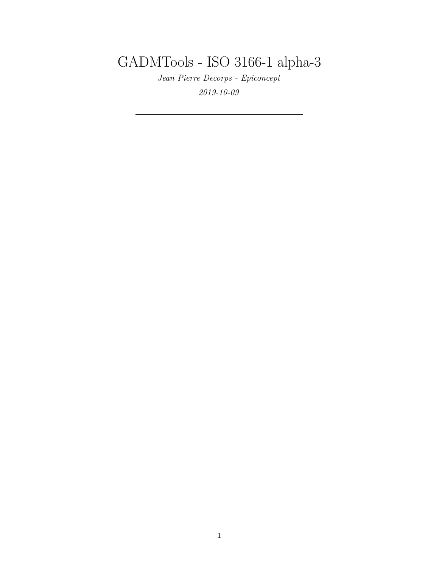GADMTools - ISO 3166-1 alpha-3

*Jean Pierre Decorps - Epiconcept 2019-10-09*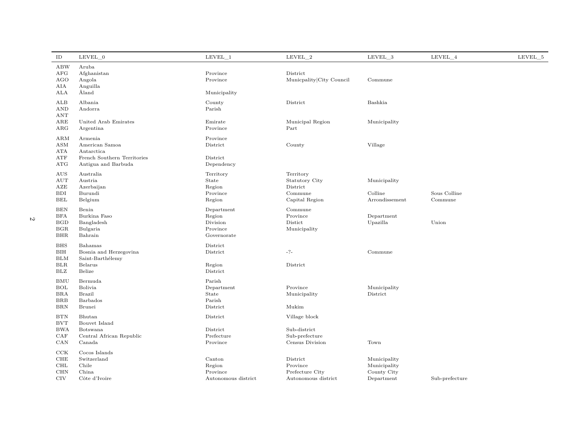| ID                                                                   | LEVEL 0                                                                                       | LEVEL 1                                                     | LEVEL 2                                                              | LEVEL 3                                                   | LEVEL 4                 | LEVEL 5 |
|----------------------------------------------------------------------|-----------------------------------------------------------------------------------------------|-------------------------------------------------------------|----------------------------------------------------------------------|-----------------------------------------------------------|-------------------------|---------|
| <b>ABW</b><br>AFG<br><b>AGO</b><br>AIA<br>ALA                        | Aruba<br>Afghanistan<br>Angola<br>Anguilla<br>Åland                                           | Province<br>Province<br>Municipality                        | District<br>Municpality City Council                                 | Commune                                                   |                         |         |
| ALB<br><b>AND</b><br>ANT                                             | Albania<br>Andorra                                                                            | County<br>Parish                                            | District                                                             | Bashkia                                                   |                         |         |
| $_{\rm ARE}$<br>ARG                                                  | United Arab Emirates<br>Argentina                                                             | Emirate<br>Province                                         | Municipal Region<br>Part                                             | Municipality                                              |                         |         |
| ARM<br><b>ASM</b><br>ATA<br>ATF<br>ATG                               | Armenia<br>American Samoa<br>Antarctica<br>French Southern Territories<br>Antigua and Barbuda | Province<br>District<br>District<br>Dependency              | County                                                               | Village                                                   |                         |         |
| AUS<br>AUT<br>AZE<br><b>BDI</b><br>BEL                               | Australia<br>Austria<br>Azerbaijan<br>Burundi<br>Belgium                                      | Territory<br>State<br>Region<br>Province<br>Region          | Territory<br>Statutory City<br>District<br>Commune<br>Capital Region | Municipality<br>Colline<br>Arrondissement                 | Sous Colline<br>Commune |         |
| <b>BEN</b><br><b>BFA</b><br><b>BGD</b><br><b>BGR</b><br><b>BHR</b>   | Benin<br>Burkina Faso<br>Bangladesh<br>Bulgaria<br>Bahrain                                    | Department<br>Region<br>Division<br>Province<br>Governorate | Commune<br>Province<br>Distict<br>Municipality                       | Department<br>Upazilla                                    | Union                   |         |
| <b>BHS</b><br>$\rm BHH$<br><b>BLM</b><br><b>BLR</b><br>$_{\rm BLZ}$  | Bahamas<br>Bosnia and Herzegovina<br>Saint-Barthélemy<br>Belarus<br>Belize                    | District<br>District<br>Region<br>District                  | $-?-$<br>District                                                    | Commune                                                   |                         |         |
| <b>BMU</b><br><b>BOL</b><br><b>BRA</b><br><b>BRB</b><br>$_{\rm BRN}$ | Bermuda<br>Bolivia<br><b>Brazil</b><br>Barbados<br>Brunei                                     | Parish<br>Department<br>State<br>Parish<br>District         | Province<br>Municipality<br>Mukim                                    | Municipality<br>District                                  |                         |         |
| <b>BTN</b><br><b>BVT</b><br><b>BWA</b><br>CAF<br>CAN                 | Bhutan<br>Bouvet Island<br>Botswana<br>Central African Republic<br>Canada                     | District<br>District<br>Prefecture<br>Province              | Village block<br>Sub-district<br>Sub-prefecture<br>Census Division   | Town                                                      |                         |         |
| CCK<br>${\rm CHE}$<br>$\rm CHL$<br><b>CHN</b><br><b>CIV</b>          | Cocos Islands<br>Switzerland<br>Chile<br>China<br>Côte d'Ivoire                               | Canton<br>Region<br>Province<br>Autonomous district         | District<br>Province<br>Prefecture City<br>Autonomous district       | Municipality<br>Municipality<br>County City<br>Department | Sub-prefecture          |         |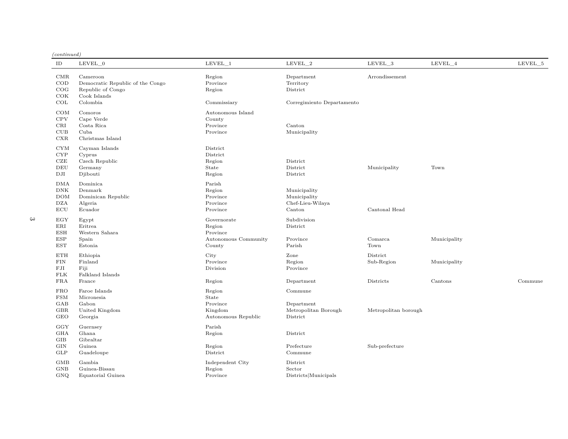| (continued) |  |
|-------------|--|
|             |  |

| (continued)  |                                  |                      |                            |                      |              |         |
|--------------|----------------------------------|----------------------|----------------------------|----------------------|--------------|---------|
| ID           | LEVEL 0                          | LEVEL 1              | LEVEL 2                    | LEVEL 3              | LEVEL 4      | LEVEL 5 |
| CMR          | Cameroon                         | Region               | Department                 | Arrondissement       |              |         |
| $\rm COD$    | Democratic Republic of the Congo | Province             | Territory                  |                      |              |         |
| COG          | Republic of Congo                | Region               | District                   |                      |              |         |
| COK          | Cook Islands                     |                      |                            |                      |              |         |
| COL          | Colombia                         | Commissiary          | Corregimiento Departamento |                      |              |         |
| COM          | Comoros                          | Autonomous Island    |                            |                      |              |         |
| CPV          | Cape Verde                       | County               |                            |                      |              |         |
| CRI          | Costa Rica                       | Province             | Canton                     |                      |              |         |
| CUB          | Cuba                             | Province             | Municipality               |                      |              |         |
| CXR          | Christmas Island                 |                      |                            |                      |              |         |
| <b>CYM</b>   | Cayman Islands                   | District             |                            |                      |              |         |
| <b>CYP</b>   | Cyprus                           | District             |                            |                      |              |         |
| CZE          | Czech Republic                   | Region               | District                   |                      |              |         |
| DEU          | Germany                          | State                | District                   | Municipality         | Town         |         |
| DJI          | Djibouti                         | Region               | District                   |                      |              |         |
| <b>DMA</b>   | Dominica                         | Parish               |                            |                      |              |         |
| DNK          | Denmark                          | Region               | Municipality               |                      |              |         |
| <b>DOM</b>   | Dominican Republic               | Province             | Municipality               |                      |              |         |
| <b>DZA</b>   | Algeria                          | Province             | Chef-Lieu-Wilaya           |                      |              |         |
| ECU          | Ecuador                          | Province             | Canton                     | Cantonal Head        |              |         |
| EGY          | Egypt                            | Governorate          | Subdivision                |                      |              |         |
| $_{\rm ERI}$ | Eritrea                          | Region               | District                   |                      |              |         |
| <b>ESH</b>   | Western Sahara                   | Province             |                            |                      |              |         |
| <b>ESP</b>   | Spain                            | Autonomous Community | Province                   | Comarca              | Municipality |         |
| <b>EST</b>   | Estonia                          | County               | Parish                     | Town                 |              |         |
| <b>ETH</b>   | Ethiopia                         | City                 | Zone                       | District             |              |         |
| FIN          | Finland                          | Province             | Region                     | Sub-Region           | Municipality |         |
| FJI          | Fiji                             | Division             | Province                   |                      |              |         |
| ${\rm FLK}$  | Falkland Islands                 |                      |                            |                      |              |         |
| <b>FRA</b>   | France                           | Region               | Department                 | Districts            | Cantons      | Commune |
| <b>FRO</b>   | Faroe Islands                    | Region               | Commune                    |                      |              |         |
| <b>FSM</b>   | Micronesia                       | State                |                            |                      |              |         |
| GAB          | Gabon                            | Province             | Department                 |                      |              |         |
| GBR          | United Kingdom                   | Kingdom              | Metropolitan Borough       | Metropolitan borough |              |         |
| <b>GEO</b>   | Georgia                          | Autonomous Republic  | District                   |                      |              |         |
| GGY          | Guernsey                         | Parish               |                            |                      |              |         |
| <b>GHA</b>   | Ghana                            | Region               | District                   |                      |              |         |
| GIB          | Gibraltar                        |                      |                            |                      |              |         |
| GIN          | Guinea                           | Region               | Prefecture                 | Sub-prefecture       |              |         |
| GLP          | Guadeloupe                       | District             | Commune                    |                      |              |         |
| GMB          | Gambia                           | Independent City     | District                   |                      |              |         |
| <b>GNB</b>   | Guinea-Bissau                    | Region               | Sector                     |                      |              |         |
| GNQ          | Equatorial Guinea                | Province             | Districts Municipals       |                      |              |         |
|              |                                  |                      |                            |                      |              |         |

 $3$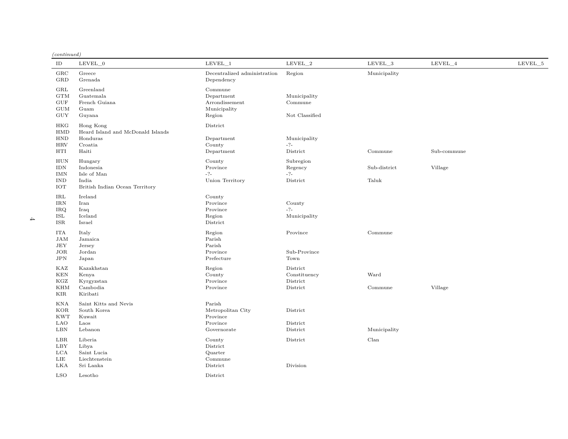*(continued)*

| $\rm ID$                                                       | $LEVEL_0$                                                                      | $LEVEL$ <sup>1</sup>                                               | $LEVEL_2$                                        | $LEVEL_3$             | LEVEL_4     | LEVEL_5 |
|----------------------------------------------------------------|--------------------------------------------------------------------------------|--------------------------------------------------------------------|--------------------------------------------------|-----------------------|-------------|---------|
| $_{\rm GRC}$<br>GRD                                            | Greece<br>Grenada                                                              | Decentralized administration<br>Dependency                         | Region                                           | Municipality          |             |         |
| GRL<br>GTM<br><b>GUF</b><br><b>GUM</b><br><b>GUY</b>           | Greenland<br>Guatemala<br>French Guiana<br>Guam<br>Guyana                      | Commune<br>Department<br>Arrondissement<br>Municipality<br>Region  | Municipality<br>Commune<br>Not Classified        |                       |             |         |
| <b>HKG</b><br>HMD<br><b>HND</b><br><b>HRV</b><br><b>HTI</b>    | Hong Kong<br>Heard Island and McDonald Islands<br>Honduras<br>Croatia<br>Haiti | District<br>Department<br>County<br>Department                     | Municipality<br>$-2-$<br>District                | Commune               | Sub-commune |         |
| ${\rm HUN}$<br><b>IDN</b><br><b>IMN</b><br><b>IND</b><br>IOT   | Hungary<br>Indonesia<br>Isle of Man<br>India<br>British Indian Ocean Territory | County<br>Province<br>$-?-$<br>Union Territory                     | Subregion<br>Regency<br>$-?-$<br>District        | Sub-district<br>Taluk | Village     |         |
| IRL<br>$\mathop{\rm IRN}\nolimits$<br><b>IRQ</b><br>ISL<br>ISR | Ireland<br>Iran<br>Iraq<br>Iceland<br>Israel                                   | County<br>Province<br>Province<br>Region<br>District               | County<br>$-2-$<br>Municipality                  |                       |             |         |
| <b>ITA</b><br>JAM<br>JEY<br>JOR<br>JPN                         | Italy<br>Jamaica<br>Jersey<br>Jordan<br>Japan                                  | Region<br>Parish<br>Parish<br>Province<br>Prefecture               | Province<br>Sub-Province<br>Town                 | Commune               |             |         |
| KAZ<br><b>KEN</b><br>KGZ<br><b>KHM</b><br>KIR                  | Kazakhstan<br>Kenya<br>Kyrgyzstan<br>Cambodia<br>Kiribati                      | Region<br>County<br>Province<br>Province                           | District<br>Constituency<br>District<br>District | Ward<br>Commune       | Village     |         |
| <b>KNA</b><br>KOR<br><b>KWT</b><br><b>LAO</b><br>LBN           | Saint Kitts and Nevis<br>South Korea<br>Kuwait<br>Laos<br>Lebanon              | Parish<br>Metropolitan City<br>Province<br>Province<br>Governorate | District<br>District<br>District                 | Municipality          |             |         |
| LBR<br>LBY<br>LCA<br>LIE<br>LKA<br><b>LSO</b>                  | Liberia<br>Libya<br>Saint Lucia<br>Liechtenstein<br>Sri Lanka<br>Lesotho       | County<br>District<br>Quarter<br>Commune<br>District<br>District   | District<br>Division                             | Clan                  |             |         |
|                                                                |                                                                                |                                                                    |                                                  |                       |             |         |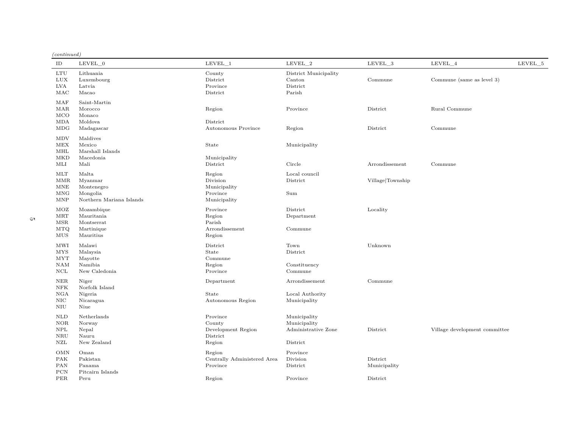| (continued) |  |
|-------------|--|
|             |  |

| ID                                                   | LEVEL 0                                                                | $LEVEL\_1$                                                     | $LEVEL_2$                                                       | LEVEL_3                              | LEVEL_4                       | LEVEL_5 |
|------------------------------------------------------|------------------------------------------------------------------------|----------------------------------------------------------------|-----------------------------------------------------------------|--------------------------------------|-------------------------------|---------|
| <b>LTU</b><br><b>LUX</b><br>LVA<br>MAC               | Lithuania<br>Luxembourg<br>Latvia<br>Macao                             | County<br>District<br>Province<br>District                     | District Municipality<br>Canton<br>District<br>Parish           | Commune                              | Commune (same as level 3)     |         |
| MAF<br>MAR<br>MCO<br>MDA<br>MDG                      | Saint-Martin<br>Morocco<br>Monaco<br>Moldova<br>Madagascar             | Region<br>District<br>Autonomous Province                      | Province<br>Region                                              | District<br>District                 | Rural Commune<br>Commune      |         |
| <b>MDV</b><br>MEX<br>MHL<br><b>MKD</b><br>MLI        | Maldives<br>Mexico<br>Marshall Islands<br>Macedonia<br>Mali            | State<br>Municipality<br>District                              | Municipality<br>Circle                                          | Arrondissement                       | Commune                       |         |
| MLT<br><b>MMR</b><br>MNE<br><b>MNG</b><br><b>MNP</b> | Malta<br>Myanmar<br>Montenegro<br>Mongolia<br>Northern Mariana Islands | Region<br>Division<br>Municipality<br>Province<br>Municipality | Local council<br>District<br>Sum                                | Village Township                     |                               |         |
| MOZ<br>MRT<br>MSR<br>$\rm{MTQ}$<br>MUS               | Mozambique<br>Mauritania<br>Montserrat<br>Martinique<br>Mauritius      | Province<br>Region<br>Parish<br>Arrondissement<br>Region       | District<br>Department<br>Commune                               | Locality                             |                               |         |
| MWI<br><b>MYS</b><br><b>MYT</b><br>NAM<br>$\rm NCL$  | Malawi<br>Malaysia<br>Mayotte<br>Namibia<br>New Caledonia              | District<br>State<br>Commune<br>Region<br>Province             | Town<br>District<br>Constituency<br>Commune                     | Unknown                              |                               |         |
| <b>NER</b><br>${\rm NFK}$<br>NGA<br>NIC<br>$\rm NIU$ | Niger<br>Norfolk Island<br>Nigeria<br>Nicaragua<br>Niue                | Department<br>State<br>Autonomous Region                       | Arrondissement<br>Local Authority<br>Municipality               | Commune                              |                               |         |
| NLD<br>$NOR$<br><b>NPL</b><br><b>NRU</b><br>NZL      | Netherlands<br>Norway<br>Nepal<br>Nauru<br>New Zealand                 | Province<br>County<br>Development Region<br>District<br>Region | Municipality<br>Municipality<br>Administrative Zone<br>District | District                             | Village development committee |         |
| <b>OMN</b><br>PAK<br>PAN<br>PCN<br><b>PER</b>        | Oman<br>Pakistan<br>Panama<br>Pitcairn Islands<br>Peru                 | Region<br>Centrally Administered Area<br>Province<br>Region    | Province<br>Division<br>District<br>Province                    | District<br>Municipality<br>District |                               |         |
|                                                      |                                                                        |                                                                |                                                                 |                                      |                               |         |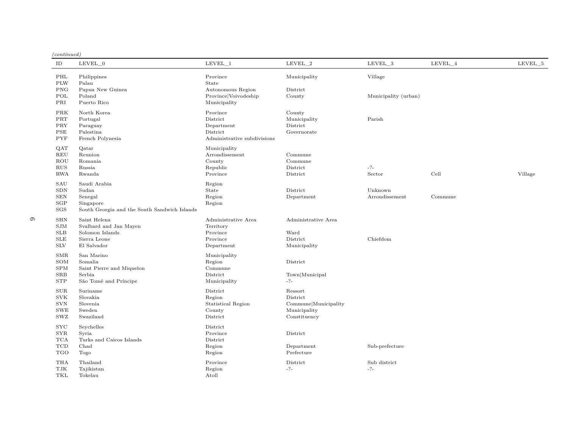*(continued)*

| ID                                                                          | LEVEL_0                                                                                       | $LEVEL_1$                                                                     | $LEVEL_2$                                                                   | LEVEL_3                   | LEVEL_4 | LEVEL_5 |
|-----------------------------------------------------------------------------|-----------------------------------------------------------------------------------------------|-------------------------------------------------------------------------------|-----------------------------------------------------------------------------|---------------------------|---------|---------|
| PHL<br><b>PLW</b>                                                           | Philippines<br>Palau                                                                          | Province<br>State                                                             | Municipality                                                                | Village                   |         |         |
| <b>PNG</b><br>POL<br>PRI                                                    | Papua New Guinea<br>Poland<br>Puerto Rico                                                     | Autonomous Region<br>Province Voivodeship<br>Municipality                     | District<br>County                                                          | Municipality (urban)      |         |         |
| PRK<br>$\rm{PRT}$<br>PRY<br>PSE<br><b>PYF</b>                               | North Korea<br>Portugal<br>Paraguay<br>Palestina<br>French Polynesia                          | Province<br>District<br>Department<br>District<br>Administrative subdivisions | County<br>Municipality<br>District<br>Governorate                           | Parish                    |         |         |
| QAT<br>REU<br>ROU<br>RUS<br>RWA                                             | Qatar<br>Reunion<br>Romania<br>Russia<br>Rwanda                                               | Municipality<br>Arrondissement<br>County<br>Republic<br>Province              | Commune<br>Commune<br>District<br>District                                  | $-? -$<br>Sector          | Cell    | Village |
| SAU<br>SDN<br>${\hbox{\footnotesize\rm SEN}}$<br>SGP<br>SGS                 | Saudi Arabia<br>Sudan<br>Senegal<br>Singapore<br>South Georgia and the South Sandwich Islands | Region<br>State<br>Region<br>Region                                           | District<br>Department                                                      | Unknown<br>Arrondissement | Commune |         |
| <b>SHN</b><br>SIM<br><b>SLB</b><br><b>SLE</b><br>$\rm SLV$                  | Saint Helena<br>Svalbard and Jan Mayen<br>Solomon Islands<br>Sierra Leone<br>El Salvador      | Administrative Area<br>Territory<br>Province<br>Province<br>Department        | Administrative Area<br>Ward<br>District<br>Municipality                     | Chiefdom                  |         |         |
| <b>SMR</b><br>SOM<br>SPM<br>$_{\rm SRB}$<br><b>STP</b>                      | San Marino<br>Somalia<br>Saint Pierre and Miquelon<br>Serbia<br>São Tomé and Príncipe         | Municipality<br>Region<br>Commune<br>District<br>Municipality                 | District<br>Town Municipal<br>$-?-$                                         |                           |         |         |
| SUB<br><b>SVK</b><br><b>SVN</b><br>SWE<br>SWZ                               | Suriname<br>Slovakia<br>Slovenia<br>Sweden<br>Swaziland                                       | District<br>Region<br>Statistical Region<br>County<br>District                | Ressort<br>District<br>Commune Municipality<br>Municipality<br>Constituency |                           |         |         |
| $_{\mathrm{SYC}}$<br>$_{\rm SYR}$<br><b>TCA</b><br><b>TCD</b><br><b>TGO</b> | Seychelles<br>Syria<br>Turks and Caicos Islands<br>Chad<br>Togo                               | District<br>Province<br>District<br>Region<br>Region                          | District<br>Department<br>Prefecture                                        | Sub-prefecture            |         |         |
| THA<br>TJK<br>TKL                                                           | Thailand<br>Tajikistan<br>Tokelau                                                             | Province<br>Region<br>Atoll                                                   | District<br>$-?-$                                                           | Sub district<br>$-?-$     |         |         |